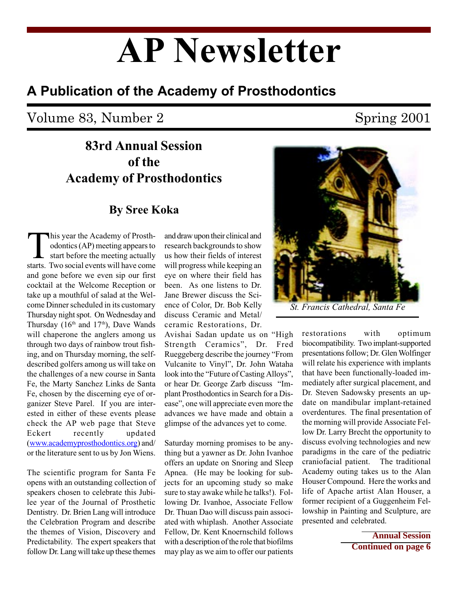# AP Newsletter

## A Publication of the Academy of Prosthodontics

# Volume 83, Number 2 Spring 2001

# 83rd Annual Session of the Academy of Prosthodontics

### By Sree Koka

This year the Academy of Prosth-<br>odontics (AP) meeting appears to<br>start before the meeting actually<br>starts. Two social events will have come odontics (AP) meeting appears to start before the meeting actually starts. Two social events will have come and gone before we even sip our first cocktail at the Welcome Reception or take up a mouthful of salad at the Welcome Dinner scheduled in its customary Thursday night spot. On Wednesday and Thursday ( $16<sup>th</sup>$  and  $17<sup>th</sup>$ ), Dave Wands will chaperone the anglers among us through two days of rainbow trout fishing, and on Thursday morning, the selfdescribed golfers among us will take on the challenges of a new course in Santa Fe, the Marty Sanchez Links de Santa Fe, chosen by the discerning eye of organizer Steve Parel. If you are interested in either of these events please check the AP web page that Steve Eckert recently updated (www.academyprosthodontics.org) and/ or the literature sent to us by Jon Wiens.

The scientific program for Santa Fe opens with an outstanding collection of speakers chosen to celebrate this Jubilee year of the Journal of Prosthetic Dentistry. Dr. Brien Lang will introduce the Celebration Program and describe the themes of Vision, Discovery and Predictability. The expert speakers that follow Dr. Lang will take up these themes

and draw upon their clinical and research backgrounds to show us how their fields of interest will progress while keeping an eye on where their field has been. As one listens to Dr. Jane Brewer discuss the Science of Color, Dr. Bob Kelly discuss Ceramic and Metal/ ceramic Restorations, Dr.

Avishai Sadan update us on "High Strength Ceramics", Dr. Fred Rueggeberg describe the journey "From Vulcanite to Vinyl", Dr. John Wataha look into the "Future of Casting Alloys", or hear Dr. George Zarb discuss "Implant Prosthodontics in Search for a Disease", one will appreciate even more the advances we have made and obtain a glimpse of the advances yet to come.

Saturday morning promises to be anything but a yawner as Dr. John Ivanhoe offers an update on Snoring and Sleep Apnea. (He may be looking for subjects for an upcoming study so make sure to stay awake while he talks!). Following Dr. Ivanhoe, Associate Fellow Dr. Thuan Dao will discuss pain associated with whiplash. Another Associate Fellow, Dr. Kent Knoernschild follows with a description of the role that biofilms may play as we aim to offer our patients



restorations with optimum biocompatibility. Two implant-supported presentations follow; Dr. Glen Wolfinger will relate his experience with implants that have been functionally-loaded immediately after surgical placement, and Dr. Steven Sadowsky presents an update on mandibular implant-retained overdentures. The final presentation of the morning will provide Associate Fellow Dr. Larry Brecht the opportunity to discuss evolving technologies and new paradigms in the care of the pediatric craniofacial patient. The traditional Academy outing takes us to the Alan Houser Compound. Here the works and life of Apache artist Alan Houser, a former recipient of a Guggenheim Fellowship in Painting and Sculpture, are presented and celebrated.

> **Annual Session Continued on page 6**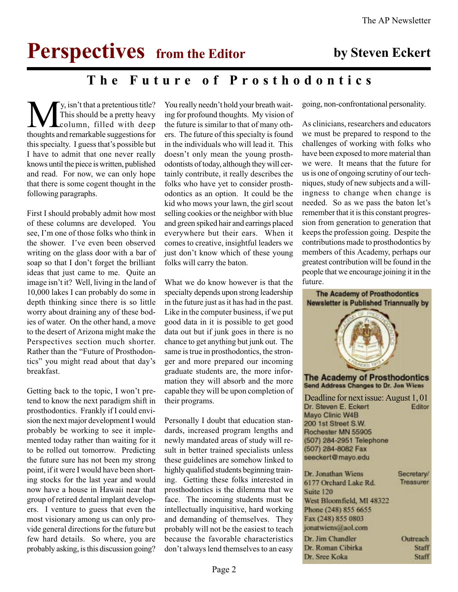# **Perspectives** from the Editor by Steven Eckert

## The Future of Prosthodontics

**M**y, isn't that a pretentious title?<br>This should be a pretty heavy<br>thoughts and remarkable suggestions for This should be a pretty heavy column, filled with deep thoughts and remarkable suggestions for this specialty. I guess that's possible but I have to admit that one never really knows until the piece is written, published and read. For now, we can only hope that there is some cogent thought in the following paragraphs.

First I should probably admit how most of these columns are developed. You see. I'm one of those folks who think in the shower. Ive even been observed writing on the glass door with a bar of soap so that I don't forget the brilliant ideas that just came to me. Quite an image isn't it? Well, living in the land of 10,000 lakes I can probably do some in depth thinking since there is so little worry about draining any of these bodies of water. On the other hand, a move to the desert of Arizona might make the Perspectives section much shorter. Rather than the "Future of Prosthodontics" you might read about that day's breakfast.

Getting back to the topic, I won't pretend to know the next paradigm shift in prosthodontics. Frankly if I could envision the next major development I would probably be working to see it implemented today rather than waiting for it to be rolled out tomorrow. Predicting the future sure has not been my strong point, if it were I would have been shorting stocks for the last year and would now have a house in Hawaii near that group of retired dental implant developers. I venture to guess that even the most visionary among us can only provide general directions for the future but few hard details. So where, you are probably asking, is this discussion going?

You really needn't hold your breath waiting for profound thoughts. My vision of the future is similar to that of many others. The future of this specialty is found in the individuals who will lead it. This doesn't only mean the young prosthodontists of today, although they will certainly contribute, it really describes the folks who have yet to consider prosthodontics as an option. It could be the kid who mows your lawn, the girl scout selling cookies or the neighbor with blue and green spiked hair and earrings placed everywhere but their ears. When it comes to creative, insightful leaders we just don't know which of these young folks will carry the baton.

What we do know however is that the specialty depends upon strong leadership in the future just as it has had in the past. Like in the computer business, if we put good data in it is possible to get good data out but if junk goes in there is no chance to get anything but junk out. The same is true in prosthodontics, the stronger and more prepared our incoming graduate students are, the more information they will absorb and the more capable they will be upon completion of their programs.

Personally I doubt that education standards, increased program lengths and newly mandated areas of study will result in better trained specialists unless these guidelines are somehow linked to highly qualified students beginning training. Getting these folks interested in prosthodontics is the dilemma that we face. The incoming students must be intellectually inquisitive, hard working and demanding of themselves. They probably will not be the easiest to teach because the favorable characteristics don't always lend themselves to an easy going, non-confrontational personality.

As clinicians, researchers and educators we must be prepared to respond to the challenges of working with folks who have been exposed to more material than we were. It means that the future for us is one of ongoing scrutiny of our techniques, study of new subjects and a willingness to change when change is needed. So as we pass the baton let's remember that it is this constant progression from generation to generation that keeps the profession going. Despite the contributions made to prosthodontics by members of this Academy, perhaps our greatest contribution will be found in the people that we encourage joining it in the future.

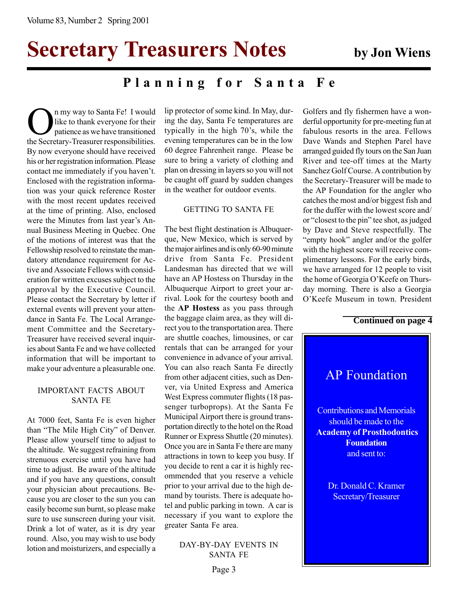# Secretary Treasurers Notes by Jon Wiens

### Planning for Santa Fe

On my way to Santa Fe! I would<br>like to thank everyone for their<br>the Secretary-Treasurer responsibilities. like to thank everyone for their patience as we have transitioned By now everyone should have received his or her registration information. Please contact me immediately if you haven't. Enclosed with the registration information was your quick reference Roster with the most recent updates received at the time of printing. Also, enclosed were the Minutes from last year's Annual Business Meeting in Quebec. One of the motions of interest was that the Fellowship resolved to reinstate the mandatory attendance requirement for Active and Associate Fellows with consideration for written excuses subject to the approval by the Executive Council. Please contact the Secretary by letter if external events will prevent your attendance in Santa Fe. The Local Arrangement Committee and the Secretary-Treasurer have received several inquiries about Santa Fe and we have collected information that will be important to make your adventure a pleasurable one.

#### IMPORTANT FACTS ABOUT SANTA FE

At 7000 feet, Santa Fe is even higher than "The Mile High City" of Denver. Please allow yourself time to adjust to the altitude. We suggest refraining from strenuous exercise until you have had time to adjust. Be aware of the altitude and if you have any questions, consult your physician about precautions. Because you are closer to the sun you can easily become sun burnt, so please make sure to use sunscreen during your visit. Drink a lot of water, as it is dry year round. Also, you may wish to use body lotion and moisturizers, and especially a lip protector of some kind. In May, during the day, Santa Fe temperatures are typically in the high 70's, while the evening temperatures can be in the low 60 degree Fahrenheit range. Please be sure to bring a variety of clothing and plan on dressing in layers so you will not be caught off guard by sudden changes in the weather for outdoor events.

#### GETTING TO SANTA FE

The best flight destination is Albuquerque, New Mexico, which is served by the major airlines and is only 60-90 minute drive from Santa Fe. President Landesman has directed that we will have an AP Hostess on Thursday in the Albuquerque Airport to greet your arrival. Look for the courtesy booth and the AP Hostess as you pass through the baggage claim area, as they will direct you to the transportation area. There are shuttle coaches, limousines, or car rentals that can be arranged for your convenience in advance of your arrival. You can also reach Santa Fe directly from other adjacent cities, such as Denver, via United Express and America West Express commuter flights (18 passenger turboprops). At the Santa Fe Municipal Airport there is ground transportation directly to the hotel on the Road Runner or Express Shuttle (20 minutes). Once you are in Santa Fe there are many attractions in town to keep you busy. If you decide to rent a car it is highly recommended that you reserve a vehicle prior to your arrival due to the high demand by tourists. There is adequate hotel and public parking in town. A car is necessary if you want to explore the greater Santa Fe area.

> DAY-BY-DAY EVENTS IN SANTA FE

derful opportunity for pre-meeting fun at fabulous resorts in the area. Fellows Dave Wands and Stephen Parel have arranged guided fly tours on the San Juan River and tee-off times at the Marty Sanchez Golf Course. A contribution by the Secretary-Treasurer will be made to the AP Foundation for the angler who catches the most and/or biggest fish and for the duffer with the lowest score and/ or "closest to the pin" tee shot, as judged by Dave and Steve respectfully. The "empty hook" angler and/or the golfer with the highest score will receive complimentary lessons. For the early birds, we have arranged for 12 people to visit the home of Georgia O'Keefe on Thursday morning. There is also a Georgia O'Keefe Museum in town. President

Golfers and fly fishermen have a won-

#### **Continued on page 4**

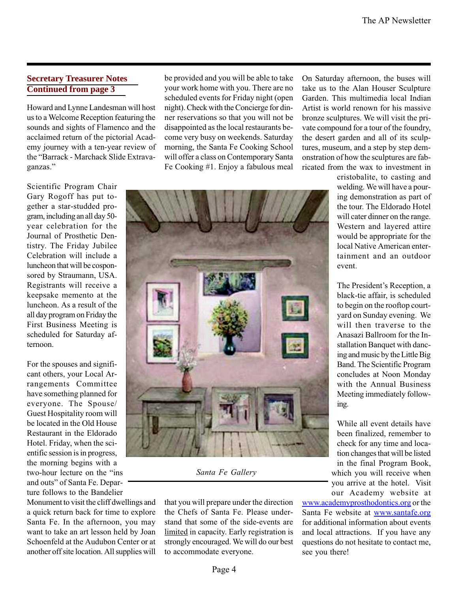### **Secretary Treasurer Notes Continued from page 3**

Howard and Lynne Landesman will host us to a Welcome Reception featuring the sounds and sights of Flamenco and the acclaimed return of the pictorial Academy journey with a ten-year review of the "Barrack - Marchack Slide Extravaganzas.

Scientific Program Chair Gary Rogoff has put together a star-studded program, including an all day 50 year celebration for the Journal of Prosthetic Dentistry. The Friday Jubilee Celebration will include a luncheon that will be cosponsored by Straumann, USA. Registrants will receive a keepsake memento at the luncheon. As a result of the all day program on Friday the First Business Meeting is scheduled for Saturday afternoon.

For the spouses and significant others, your Local Arrangements Committee have something planned for everyone. The Spouse/ Guest Hospitality room will be located in the Old House Restaurant in the Eldorado Hotel. Friday, when the scientific session is in progress, the morning begins with a two-hour lecture on the "ins and outs" of Santa Fe. Departure follows to the Bandelier

Monument to visit the cliff dwellings and a quick return back for time to explore Santa Fe. In the afternoon, you may want to take an art lesson held by Joan Schoenfeld at the Audubon Center or at another off site location. All supplies will

be provided and you will be able to take your work home with you. There are no scheduled events for Friday night (open night). Check with the Concierge for dinner reservations so that you will not be disappointed as the local restaurants become very busy on weekends. Saturday morning, the Santa Fe Cooking School will offer a class on Contemporary Santa Fe Cooking #1. Enjoy a fabulous meal



Santa Fe Gallery

that you will prepare under the direction the Chefs of Santa Fe. Please understand that some of the side-events are limited in capacity. Early registration is strongly encouraged. We will do our best to accommodate everyone.

On Saturday afternoon, the buses will take us to the Alan Houser Sculpture Garden. This multimedia local Indian Artist is world renown for his massive bronze sculptures. We will visit the private compound for a tour of the foundry, the desert garden and all of its sculptures, museum, and a step by step demonstration of how the sculptures are fabricated from the wax to investment in

> cristobalite, to casting and welding. We will have a pouring demonstration as part of the tour. The Eldorado Hotel will cater dinner on the range. Western and layered attire would be appropriate for the local Native American entertainment and an outdoor event.

> The President's Reception, a black-tie affair, is scheduled to begin on the rooftop courtyard on Sunday evening. We will then traverse to the Anasazi Ballroom for the Installation Banquet with dancing and music by the Little Big Band. The Scientific Program concludes at Noon Monday with the Annual Business Meeting immediately following.

While all event details have been finalized, remember to check for any time and location changes that will be listed in the final Program Book, which you will receive when you arrive at the hotel. Visit our Academy website at

www.academyprosthodontics.org or the Santa Fe website at www.santafe.org for additional information about events and local attractions. If you have any questions do not hesitate to contact me, see you there!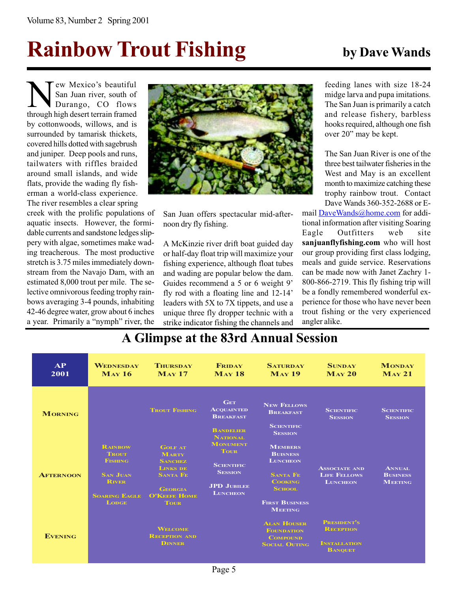# Rainbow Trout Fishing by Dave Wands

New Mexico's beautiful<br>San Juan river, south of<br>Durango, CO flows<br>through high desert terrain framed San Juan river, south of Durango, CO flows through high desert terrain framed by cottonwoods, willows, and is surrounded by tamarisk thickets, covered hills dotted with sagebrush and juniper. Deep pools and runs, tailwaters with riffles braided around small islands, and wide flats, provide the wading fly fisherman a world-class experience. The river resembles a clear spring

creek with the prolific populations of aquatic insects. However, the formidable currents and sandstone ledges slippery with algae, sometimes make wading treacherous. The most productive stretch is 3.75 miles immediately downstream from the Navajo Dam, with an estimated 8,000 trout per mile. The selective omnivorous feeding trophy rainbows averaging 3-4 pounds, inhabiting 42-46 degree water, grow about 6 inches a year. Primarily a "nymph" river, the



San Juan offers spectacular mid-afternoon dry fly fishing.

A McKinzie river drift boat guided day or half-day float trip will maximize your fishing experience, although float tubes and wading are popular below the dam. Guides recommend a 5 or 6 weight 9' fly rod with a floating line and 12-14 leaders with 5X to 7X tippets, and use a unique three fly dropper technic with a strike indicator fishing the channels and feeding lanes with size 18-24 midge larva and pupa imitations. The San Juan is primarily a catch and release fishery, barbless hooks required, although one fish over 20" may be kept.

The San Juan River is one of the three best tailwater fisheries in the West and May is an excellent month to maximize catching these trophy rainbow trout. Contact Dave Wands 360-352-2688 or E-

mail DaveWands@home.com for additional information after visiting Soaring Eagle Outfitters web site sanjuanflyfishing.com who will host our group providing first class lodging, meals and guide service. Reservations can be made now with Janet Zachry 1- 800-866-2719. This fly fishing trip will be a fondly remembered wonderful experience for those who have never been trout fishing or the very experienced angler alike.

| AP<br>2001       | <b>WEDNESDAY</b><br>$M_{AV}$ 16      | <b>THURSDAY</b><br>$M_{AV}$ 17                       | <b>FRIDAY</b><br><b>MAY 18</b>                                                                                 | <b>SATURDAY</b><br><b>MAY 19</b>        | <b>SUNDAY</b><br>$M_{AY}$ 20                                   | <b>MONDAY</b><br>$M_{AY}$ 21                       |
|------------------|--------------------------------------|------------------------------------------------------|----------------------------------------------------------------------------------------------------------------|-----------------------------------------|----------------------------------------------------------------|----------------------------------------------------|
| <b>MORNING</b>   |                                      | <b>TROUT FISHING</b>                                 | <b>GET</b><br><b>ACQUAINTED</b><br><b>BREAKFAST</b>                                                            | <b>NEW FELLOWS</b><br><b>BREAKFAST</b>  | <b>SCIENTIFIC</b><br><b>SESSION</b>                            | <b>SCIENTIFIC</b><br><b>SESSION</b>                |
|                  |                                      |                                                      | <b>BANDELIER</b><br><b>NATIONAL</b>                                                                            | <b>SCIENTIFIC</b><br><b>SESSION</b>     |                                                                |                                                    |
| <b>AFTERNOON</b> | <b>RAINBOW</b><br><b>TROUT</b>       | <b>GOLF AT</b><br><b>MARTY</b>                       | <b>MONUMENT</b><br><b>TOUR</b><br><b>SCIENTIFIC</b><br><b>SESSION</b><br><b>JPD JUBILEE</b><br><b>LUNCHEON</b> | <b>MEMBERS</b><br><b>BUISNESS</b>       | <b>ASSOCIATE AND</b><br><b>LIFE FELLOWS</b><br><b>LUNCHEON</b> |                                                    |
|                  | <b>FISHING</b><br><b>SAN JUAN</b>    | <b>SANCHEZ</b><br><b>LINKS DE</b><br><b>SANTA FE</b> |                                                                                                                | <b>LUNCHEON</b><br><b>SANTA FE</b>      |                                                                | <b>ANNUAL</b><br><b>BUSINESS</b><br><b>MEETING</b> |
|                  | <b>RIVER</b><br><b>SOARING EAGLE</b> | <b>GEORGIA</b><br><b>O'KEEFE HOME</b>                |                                                                                                                | <b>COOKING</b><br><b>SCHOOL</b>         |                                                                |                                                    |
|                  | <b>LODGE</b>                         | <b>TOUR</b>                                          |                                                                                                                | <b>FIRST BUSINESS</b><br><b>MEETING</b> |                                                                |                                                    |
| <b>EVENING</b>   |                                      | <b>WELCOME</b>                                       |                                                                                                                | <b>ALAN HOUSER</b><br><b>FOUNDATION</b> | <b>PRESIDENT'S</b><br><b>RECEPTION</b>                         |                                                    |
|                  |                                      | <b>RECEPTION AND</b><br><b>DINNER</b>                |                                                                                                                | <b>COMPOUND</b><br><b>SOCIAL OUTING</b> | <b>INSTALLATION</b><br><b>BANQUET</b>                          |                                                    |

### A Glimpse at the 83rd Annual Session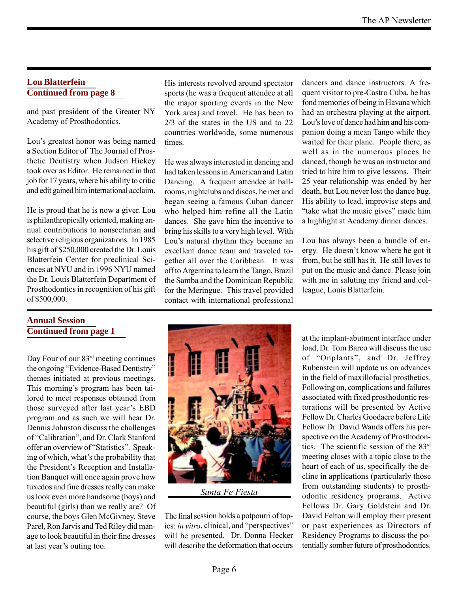#### **Lou Blatterfein Continued from page 8**

and past president of the Greater NY Academy of Prosthodontics.

Lou's greatest honor was being named a Section Editor of The Journal of Prosthetic Dentistry when Judson Hickey took over as Editor. He remained in that job for 17 years, where his ability to critic and edit gained him international acclaim.

He is proud that he is now a giver. Lou is philanthropically oriented, making annual contributions to nonsectarian and selective religious organizations. In 1985 his gift of \$250,000 created the Dr. Louis Blatterfein Center for preclinical Sciences at NYU and in 1996 NYU named the Dr. Louis Blatterfein Department of Prosthodontics in recognition of his gift of \$500,000.

### **Annual Session Continued from page 1**

Day Four of our 83rd meeting continues the ongoing "Evidence-Based Dentistry" themes initiated at previous meetings. This morning's program has been tailored to meet responses obtained from those surveyed after last year's EBD program and as such we will hear Dr. Dennis Johnston discuss the challenges of "Calibration", and Dr. Clark Stanford offer an overview of "Statistics". Speaking of which, what's the probability that the President's Reception and Installation Banquet will once again prove how tuxedos and fine dresses really can make us look even more handsome (boys) and beautiful (girls) than we really are? Of course, the boys Glen McGivney, Steve Parel, Ron Jarvis and Ted Riley did manage to look beautiful in their fine dresses at last year's outing too.

His interests revolved around spectator sports (he was a frequent attendee at all the major sporting events in the New York area) and travel. He has been to 2/3 of the states in the US and to 22 countries worldwide, some numerous times.

He was always interested in dancing and had taken lessons in American and Latin Dancing. A frequent attendee at ballrooms, nightclubs and discos, he met and began seeing a famous Cuban dancer who helped him refine all the Latin dances. She gave him the incentive to bring his skills to a very high level. With Lou's natural rhythm they became an excellent dance team and traveled together all over the Caribbean. It was off to Argentina to learn the Tango, Brazil the Samba and the Dominican Republic for the Meringue. This travel provided contact with international professional dancers and dance instructors. A frequent visitor to pre-Castro Cuba, he has fond memories of being in Havana which had an orchestra playing at the airport. Lou's love of dance had him and his companion doing a mean Tango while they waited for their plane. People there, as well as in the numerous places he danced, though he was an instructor and tried to hire him to give lessons. Their 25 year relationship was ended by her death, but Lou never lost the dance bug. His ability to lead, improvise steps and "take what the music gives" made him a highlight at Academy dinner dances.

Lou has always been a bundle of energy. He doesn't know where he got it from, but he still has it. He still loves to put on the music and dance. Please join with me in saluting my friend and colleague, Louis Blatterfein.



Santa Fe Fiesta

The final session holds a potpourri of topics: in vitro, clinical, and "perspectives" will be presented. Dr. Donna Hecker will describe the deformation that occurs

at the implant-abutment interface under load, Dr. Tom Barco will discuss the use of "Onplants", and Dr. Jeffrey Rubenstein will update us on advances in the field of maxillofacial prosthetics. Following on, complications and failures associated with fixed prosthodontic restorations will be presented by Active Fellow Dr. Charles Goodacre before Life Fellow Dr. David Wands offers his perspective on the Academy of Prosthodontics. The scientific session of the 83rd meeting closes with a topic close to the heart of each of us, specifically the decline in applications (particularly those from outstanding students) to prosthodontic residency programs. Active Fellows Dr. Gary Goldstein and Dr. David Felton will employ their present or past experiences as Directors of Residency Programs to discuss the potentially somber future of prosthodontics.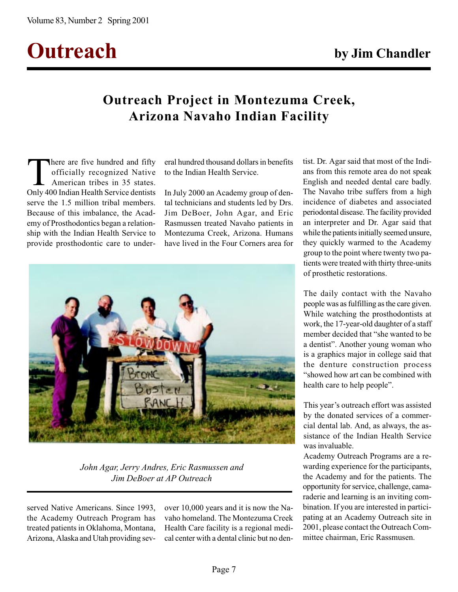# Outreach by Jim Chandler

# Outreach Project in Montezuma Creek, Arizona Navaho Indian Facility

There are five hundred and fifty<br>officially recognized Native<br>American tribes in 35 states.<br>Only 400 Indian Health Service dentists officially recognized Native American tribes in 35 states. Only 400 Indian Health Service dentists serve the 1.5 million tribal members. Because of this imbalance, the Academy of Prosthodontics began a relationship with the Indian Health Service to provide prosthodontic care to under-

eral hundred thousand dollars in benefits to the Indian Health Service.

In July 2000 an Academy group of dental technicians and students led by Drs. Jim DeBoer, John Agar, and Eric Rasmussen treated Navaho patients in Montezuma Creek, Arizona. Humans have lived in the Four Corners area for



John Agar, Jerry Andres, Eric Rasmussen and Jim DeBoer at AP Outreach

served Native Americans. Since 1993, the Academy Outreach Program has treated patients in Oklahoma, Montana, Arizona, Alaska and Utah providing sevover 10,000 years and it is now the Navaho homeland. The Montezuma Creek Health Care facility is a regional medical center with a dental clinic but no den-

tist. Dr. Agar said that most of the Indians from this remote area do not speak English and needed dental care badly. The Navaho tribe suffers from a high incidence of diabetes and associated periodontal disease. The facility provided an interpreter and Dr. Agar said that while the patients initially seemed unsure, they quickly warmed to the Academy group to the point where twenty two patients were treated with thirty three-units of prosthetic restorations.

The daily contact with the Navaho people was as fulfilling as the care given. While watching the prosthodontists at work, the 17-year-old daughter of a staff member decided that "she wanted to be a dentist". Another young woman who is a graphics major in college said that the denture construction process showed how art can be combined with health care to help people".

This year's outreach effort was assisted by the donated services of a commercial dental lab. And, as always, the assistance of the Indian Health Service was invaluable.

Academy Outreach Programs are a rewarding experience for the participants, the Academy and for the patients. The opportunity for service, challenge, camaraderie and learning is an inviting combination. If you are interested in participating at an Academy Outreach site in 2001, please contact the Outreach Committee chairman, Eric Rassmusen.